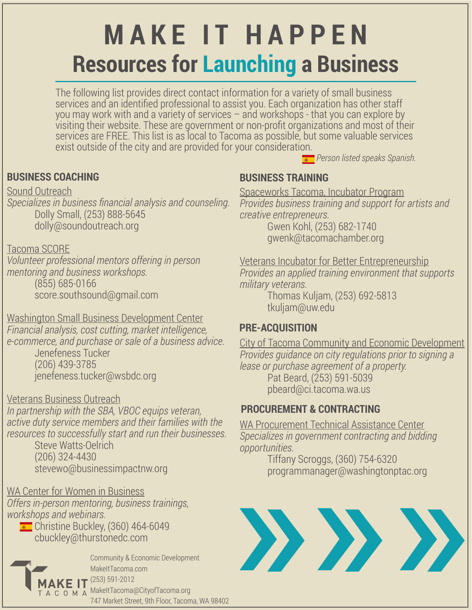# **MAKE IT HAPPEN Resources for Launching a Business**

The following list provides direct contact information for a variety of small business services and an identified professional to assist you. Each organization has other staff you may work with and a variety of services – and workshops - that you can explore by visiting their website. These are government or non-profit organizations and most of their services are FREE. This list is as local to Tacoma as possible, but some valuable services exist outside of the city and are provided for your consideration.

**BUSINESS COACHING BUSINESS TRAINING**

Sound Outreach

*Specializes in business financial analysis and counseling.* Dolly Small, (253) 888-5645 dolly@soundoutreach.org

#### Tacoma SCORE

*Volunteer professional mentors offering in person mentoring and business workshops.* (855) 685-0166 score.southsound@gmail.com

Washington Small Business Development Center *Financial analysis, cost cutting, market intelligence, e-commerce, and purchase or sale of a business advice.* Jenefeness Tucker (206) 439-3785 jenefeness.tucker@wsbdc.org

Veterans Business Outreach

*In partnership with the SBA, VBOC equips veteran, active duty service members and their families with the resources to successfully start and run their businesses.*

Steve Watts-Oelrich (206) 324-4430 stevewo@businessimpactnw.org

WA Center for Women in Business

*Offers in-person mentoring, business trainings, workshops and webinars.*

 $\bullet$  Christine Buckley, (360) 464-6049 cbuckley@thurstonedc.com



Community & Economic Development MakeItTacoma.com  $AKE II^{(253) 591-2012}$ MakeItTacoma@CityofTacoma.org 747 Market Street, 9th Floor, Tacoma, WA 98402

Spaceworks Tacoma, Incubator Program *Provides business training and support for artists and creative entrepreneurs.*

*Person listed speaks Spanish.*

Gwen Kohl, (253) 682-1740 gwenk@tacomachamber.org

Veterans Incubator for Better Entrepreneurship *Provides an applied training environment that supports military veterans.*

Thomas Kuljam, (253) 692-5813 tkuljam@uw.edu

## **PRE-ACQUISITION**

City of Tacoma Community and Economic Development *Provides guidance on city regulations prior to signing a lease or purchase agreement of a property.* Pat Beard, (253) 591-5039 pbeard@ci.tacoma.wa.us

### **PROCUREMENT & CONTRACTING**

WA Procurement Technical Assistance Center *Specializes in government contracting and bidding opportunities.*

Tiffany Scroggs, (360) 754-6320 programmanager@washingtonptac.org